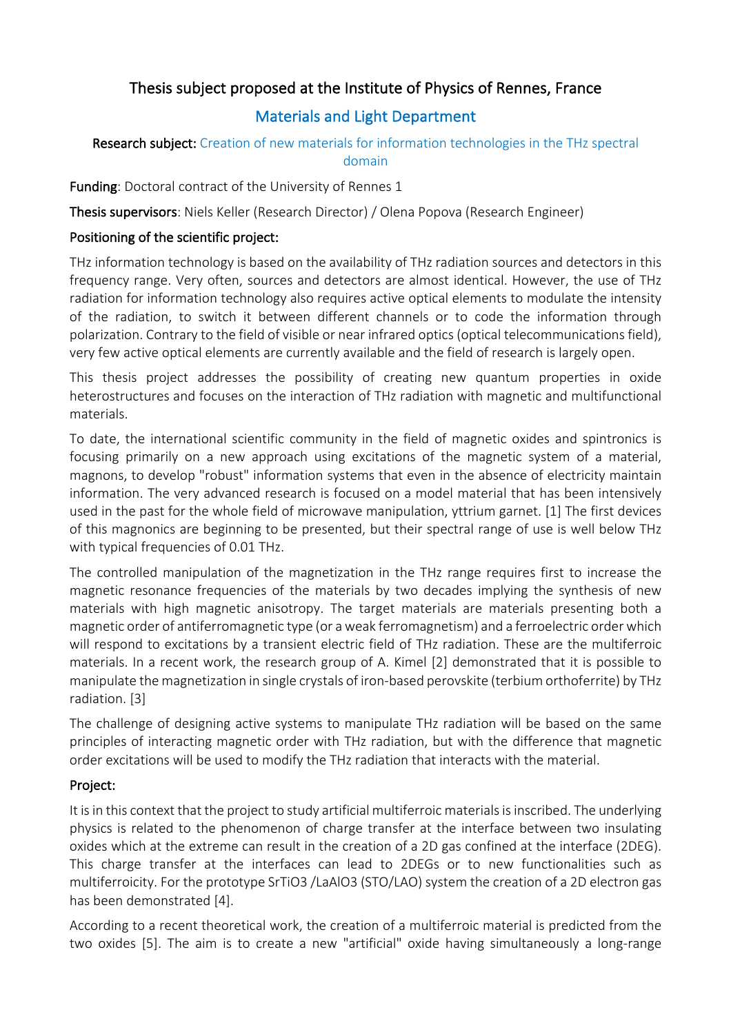# Thesis subject proposed at the Institute of Physics of Rennes, France

# Materials and Light Department

### Research subject: Creation of new materials for information technologies in the THz spectral domain

Funding: Doctoral contract of the University of Rennes 1

Thesis supervisors: Niels Keller (Research Director) / Olena Popova (Research Engineer)

### Positioning of the scientific project:

THz information technology is based on the availability of THz radiation sources and detectors in this frequency range. Very often, sources and detectors are almost identical. However, the use of THz radiation for information technology also requires active optical elements to modulate the intensity of the radiation, to switch it between different channels or to code the information through polarization. Contrary to the field of visible or near infrared optics (optical telecommunications field), very few active optical elements are currently available and the field of research is largely open.

This thesis project addresses the possibility of creating new quantum properties in oxide heterostructures and focuses on the interaction of THz radiation with magnetic and multifunctional materials.

To date, the international scientific community in the field of magnetic oxides and spintronics is focusing primarily on a new approach using excitations of the magnetic system of a material, magnons, to develop "robust" information systems that even in the absence of electricity maintain information. The very advanced research is focused on a model material that has been intensively used in the past for the whole field of microwave manipulation, yttrium garnet. [1] The first devices of this magnonics are beginning to be presented, but their spectral range of use is well below THz with typical frequencies of 0.01 THz.

The controlled manipulation of the magnetization in the THz range requires first to increase the magnetic resonance frequencies of the materials by two decades implying the synthesis of new materials with high magnetic anisotropy. The target materials are materials presenting both a magnetic order of antiferromagnetic type (or a weak ferromagnetism) and a ferroelectric order which will respond to excitations by a transient electric field of THz radiation. These are the multiferroic materials. In a recent work, the research group of A. Kimel [2] demonstrated that it is possible to manipulate the magnetization in single crystals of iron-based perovskite (terbium orthoferrite) by THz radiation. [3]

The challenge of designing active systems to manipulate THz radiation will be based on the same principles of interacting magnetic order with THz radiation, but with the difference that magnetic order excitations will be used to modify the THz radiation that interacts with the material.

## Project:

It is in this context that the project to study artificial multiferroic materials is inscribed. The underlying physics is related to the phenomenon of charge transfer at the interface between two insulating oxides which at the extreme can result in the creation of a 2D gas confined at the interface (2DEG). This charge transfer at the interfaces can lead to 2DEGs or to new functionalities such as multiferroicity. For the prototype SrTiO3 /LaAlO3 (STO/LAO) system the creation of a 2D electron gas has been demonstrated [4].

According to a recent theoretical work, the creation of a multiferroic material is predicted from the two oxides [5]. The aim is to create a new "artificial" oxide having simultaneously a long-range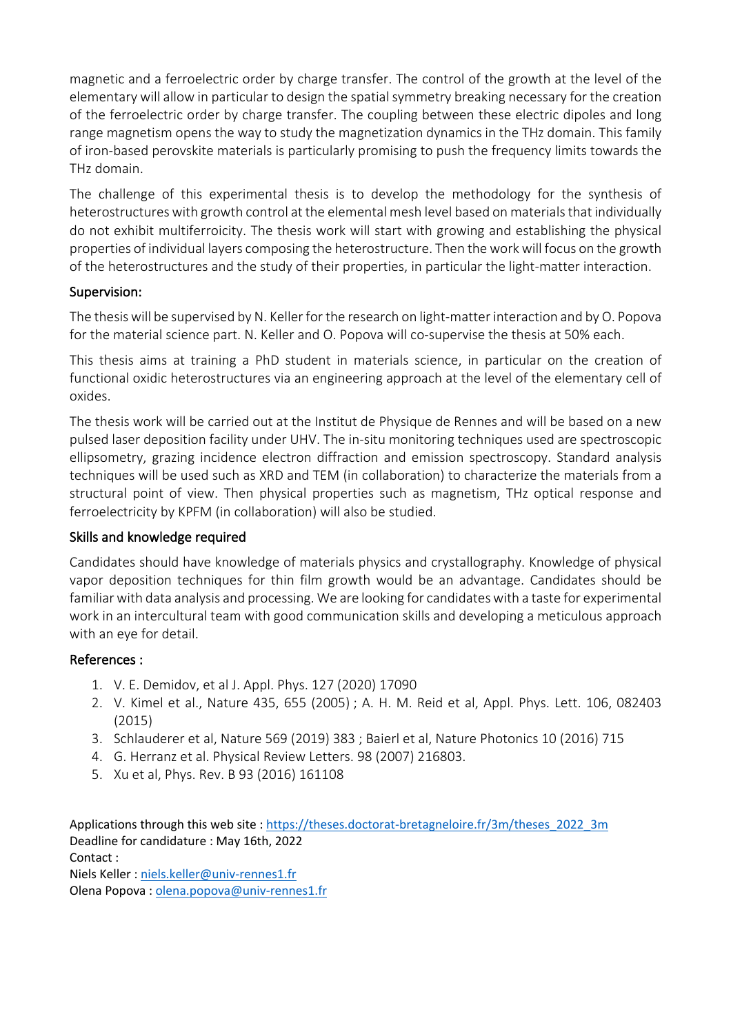magnetic and a ferroelectric order by charge transfer. The control of the growth at the level of the elementary will allow in particular to design the spatial symmetry breaking necessary for the creation of the ferroelectric order by charge transfer. The coupling between these electric dipoles and long range magnetism opens the way to study the magnetization dynamics in the THz domain. This family of iron-based perovskite materials is particularly promising to push the frequency limits towards the THz domain.

The challenge of this experimental thesis is to develop the methodology for the synthesis of heterostructures with growth control at the elemental mesh level based on materials that individually do not exhibit multiferroicity. The thesis work will start with growing and establishing the physical properties of individual layers composing the heterostructure. Then the work will focus on the growth of the heterostructures and the study of their properties, in particular the light-matter interaction.

### Supervision:

The thesis will be supervised by N. Keller for the research on light-matter interaction and by O. Popova for the material science part. N. Keller and O. Popova will co-supervise the thesis at 50% each.

This thesis aims at training a PhD student in materials science, in particular on the creation of functional oxidic heterostructures via an engineering approach at the level of the elementary cell of oxides.

The thesis work will be carried out at the Institut de Physique de Rennes and will be based on a new pulsed laser deposition facility under UHV. The in-situ monitoring techniques used are spectroscopic ellipsometry, grazing incidence electron diffraction and emission spectroscopy. Standard analysis techniques will be used such as XRD and TEM (in collaboration) to characterize the materials from a structural point of view. Then physical properties such as magnetism, THz optical response and ferroelectricity by KPFM (in collaboration) will also be studied.

## Skills and knowledge required

Candidates should have knowledge of materials physics and crystallography. Knowledge of physical vapor deposition techniques for thin film growth would be an advantage. Candidates should be familiar with data analysis and processing. We are looking for candidates with a taste for experimental work in an intercultural team with good communication skills and developing a meticulous approach with an eye for detail.

## References :

- 1. V. E. Demidov, et al J. Appl. Phys. 127 (2020) 17090
- 2. V. Kimel et al., Nature 435, 655 (2005) ; A. H. M. Reid et al, Appl. Phys. Lett. 106, 082403 (2015)
- 3. Schlauderer et al, Nature 569 (2019) 383 ; Baierl et al, Nature Photonics 10 (2016) 715
- 4. G. Herranz et al. Physical Review Letters. 98 (2007) 216803.
- 5. Xu et al, Phys. Rev. B 93 (2016) 161108

Applications through this web site : https://theses.doctorat-bretagneloire.fr/3m/theses\_2022\_3m Deadline for candidature : May 16th, 2022 Contact : Niels Keller : niels.keller@univ-rennes1.fr Olena Popova : olena.popova@univ-rennes1.fr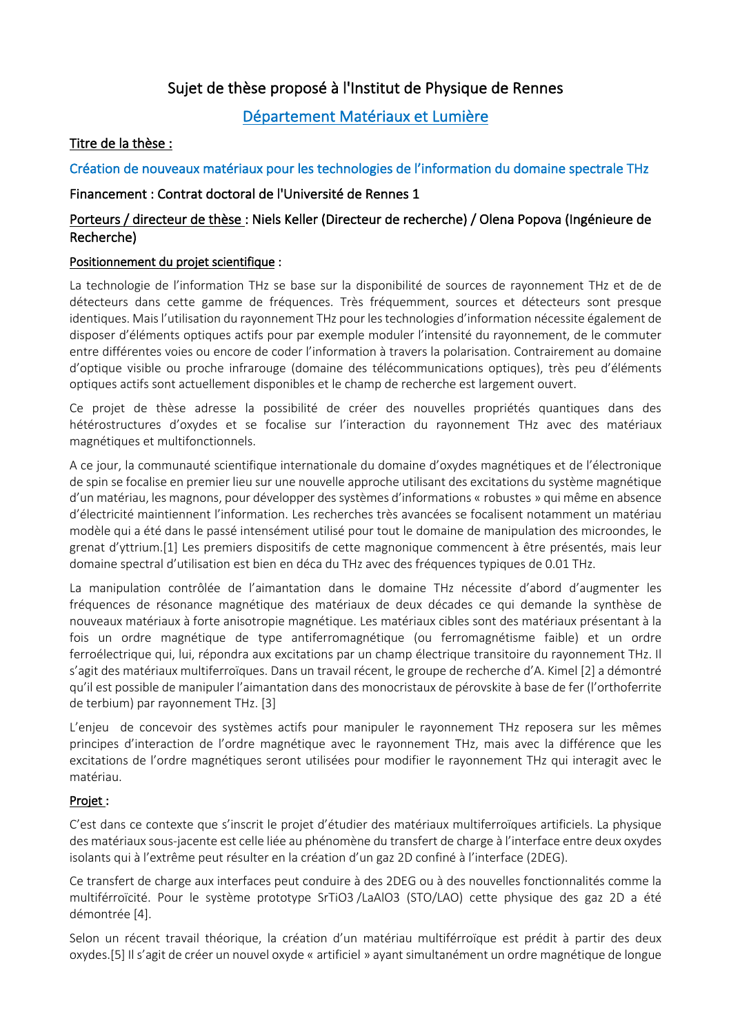# Sujet de thèse proposé à l'Institut de Physique de Rennes

## Département Matériaux et Lumière

### Titre de la thèse :

### Création de nouveaux matériaux pour les technologies de l'information du domaine spectrale THz

#### Financement : Contrat doctoral de l'Université de Rennes 1

### Porteurs / directeur de thèse : Niels Keller (Directeur de recherche) / Olena Popova (Ingénieure de Recherche)

#### Positionnement du projet scientifique :

La technologie de l'information THz se base sur la disponibilité de sources de rayonnement THz et de de détecteurs dans cette gamme de fréquences. Très fréquemment, sources et détecteurs sont presque identiques. Mais l'utilisation du rayonnement THz pour les technologies d'information nécessite également de disposer d'éléments optiques actifs pour par exemple moduler l'intensité du rayonnement, de le commuter entre différentes voies ou encore de coder l'information à travers la polarisation. Contrairement au domaine d'optique visible ou proche infrarouge (domaine des télécommunications optiques), très peu d'éléments optiques actifs sont actuellement disponibles et le champ de recherche est largement ouvert.

Ce projet de thèse adresse la possibilité de créer des nouvelles propriétés quantiques dans des hétérostructures d'oxydes et se focalise sur l'interaction du rayonnement THz avec des matériaux magnétiques et multifonctionnels.

A ce jour, la communauté scientifique internationale du domaine d'oxydes magnétiques et de l'électronique de spin se focalise en premier lieu sur une nouvelle approche utilisant des excitations du système magnétique d'un matériau, les magnons, pour développer des systèmes d'informations « robustes » qui même en absence d'électricité maintiennent l'information. Les recherches très avancées se focalisent notamment un matériau modèle qui a été dans le passé intensément utilisé pour tout le domaine de manipulation des microondes, le grenat d'yttrium.[1] Les premiers dispositifs de cette magnonique commencent à être présentés, mais leur domaine spectral d'utilisation est bien en déca du THz avec des fréquences typiques de 0.01 THz.

La manipulation contrôlée de l'aimantation dans le domaine THz nécessite d'abord d'augmenter les fréquences de résonance magnétique des matériaux de deux décades ce qui demande la synthèse de nouveaux matériaux à forte anisotropie magnétique. Les matériaux cibles sont des matériaux présentant à la fois un ordre magnétique de type antiferromagnétique (ou ferromagnétisme faible) et un ordre ferroélectrique qui, lui, répondra aux excitations par un champ électrique transitoire du rayonnement THz. Il s'agit des matériaux multiferroïques. Dans un travail récent, le groupe de recherche d'A. Kimel [2] a démontré qu'il est possible de manipuler l'aimantation dans des monocristaux de pérovskite à base de fer (l'orthoferrite de terbium) par rayonnement THz. [3]

L'enjeu de concevoir des systèmes actifs pour manipuler le rayonnement THz reposera sur les mêmes principes d'interaction de l'ordre magnétique avec le rayonnement THz, mais avec la différence que les excitations de l'ordre magnétiques seront utilisées pour modifier le rayonnement THz qui interagit avec le matériau.

#### Projet :

C'est dans ce contexte que s'inscrit le projet d'étudier des matériaux multiferroïques artificiels. La physique des matériaux sous-jacente est celle liée au phénomène du transfert de charge à l'interface entre deux oxydes isolants qui à l'extrême peut résulter en la création d'un gaz 2D confiné à l'interface (2DEG).

Ce transfert de charge aux interfaces peut conduire à des 2DEG ou à des nouvelles fonctionnalités comme la multiférroïcité. Pour le système prototype SrTiO3 /LaAlO3 (STO/LAO) cette physique des gaz 2D a été démontrée [4].

Selon un récent travail théorique, la création d'un matériau multiférroïque est prédit à partir des deux oxydes.[5] Il s'agit de créer un nouvel oxyde « artificiel » ayant simultanément un ordre magnétique de longue